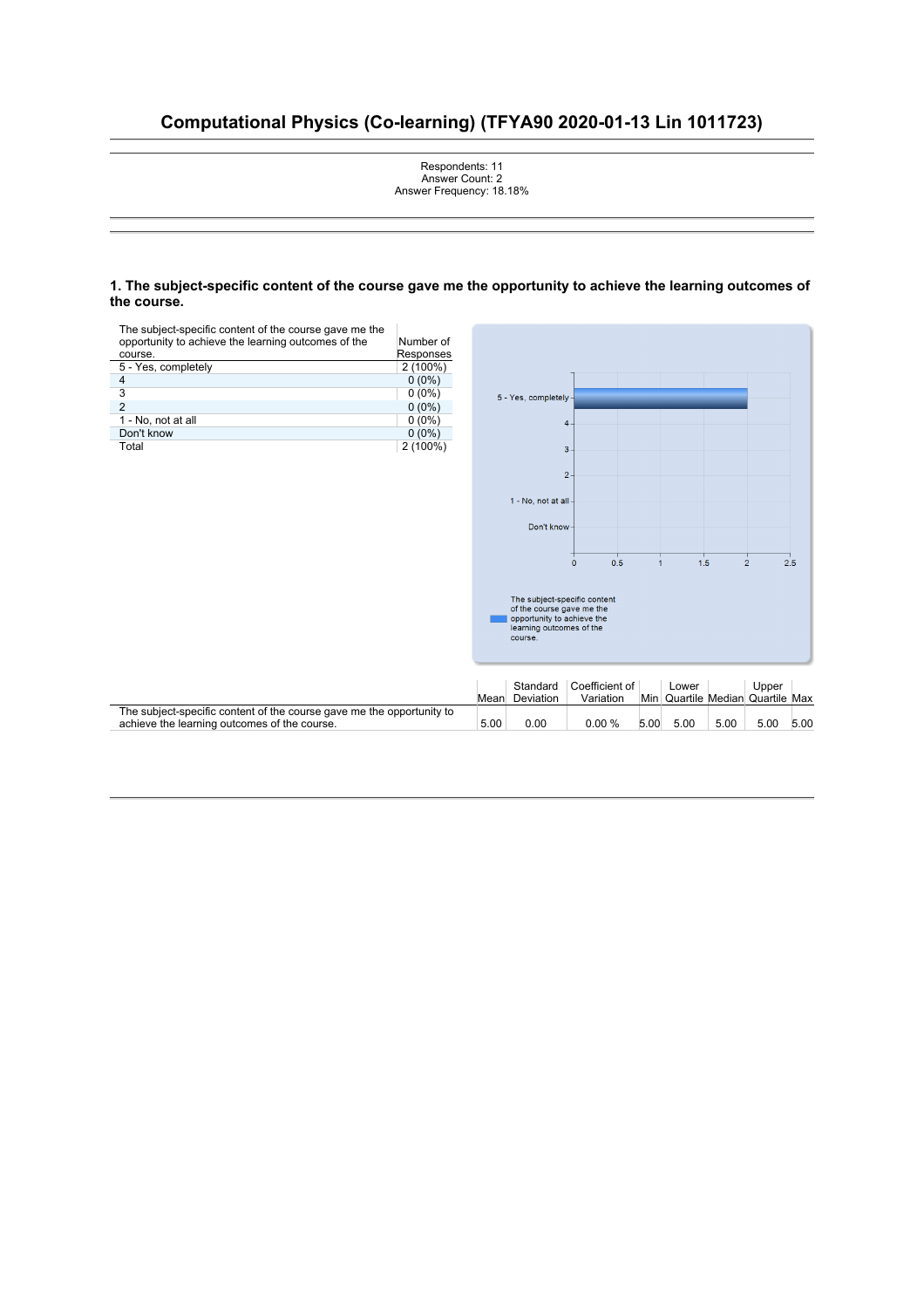# **Computational Physics (Co-learning) (TFYA90 2020-01-13 Lin 1011723)**



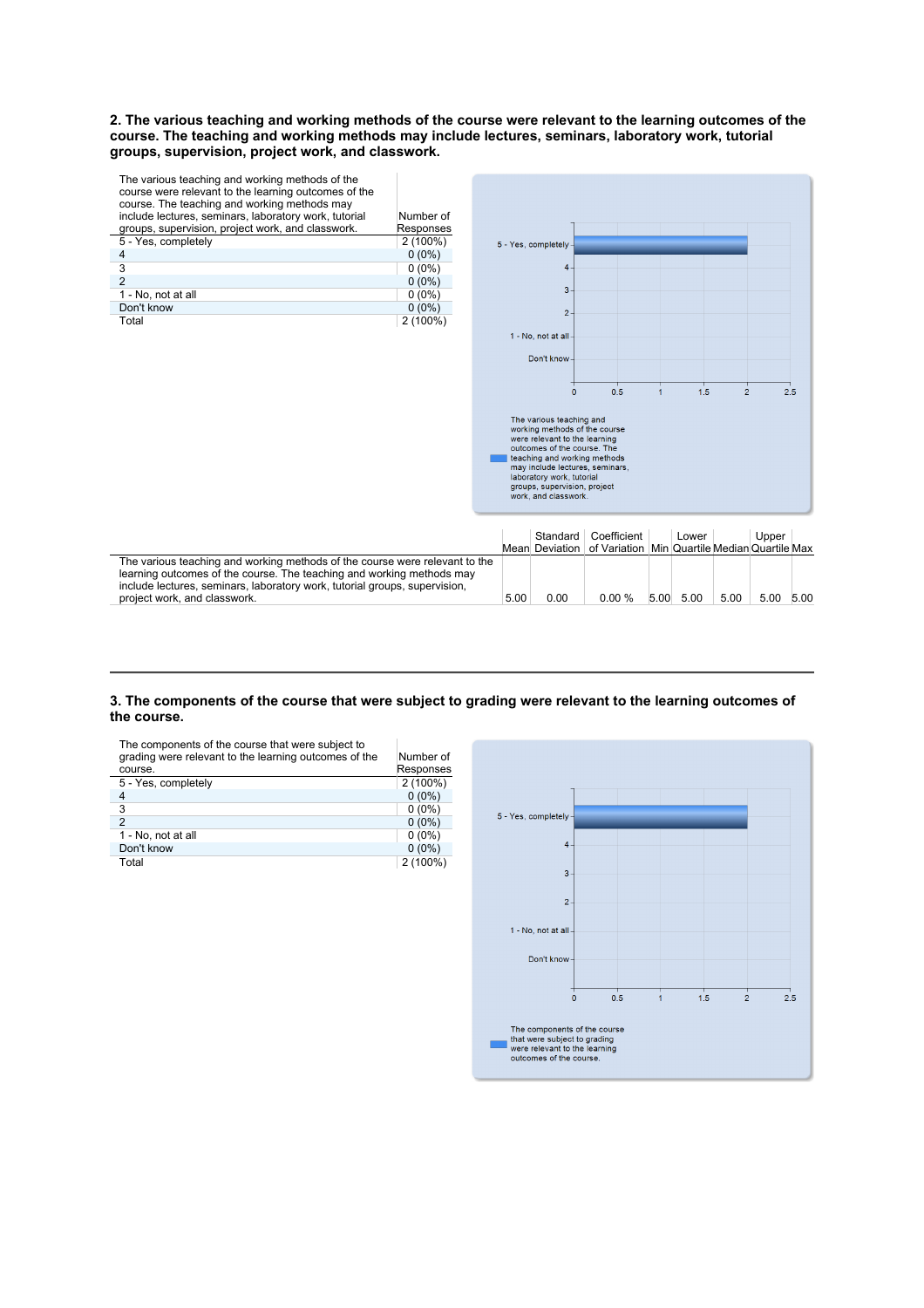**2. The various teaching and working methods of the course were relevant to the learning outcomes of the course. The teaching and working methods may include lectures, seminars, laboratory work, tutorial groups, supervision, project work, and classwork.** 



### **3. The components of the course that were subject to grading were relevant to the learning outcomes of**  the course.

The components of the course that were subject to grading were relevant to the learning outcomes of the course. Number of Responses 5 - Yes, completely 2 (100%)  $4 \t\t 0 \t(0\%)$  $3$  0 (0%) 2 0  $(0\%)$ 1 - No, not at all 0 (0%)<br>Don't know 0 (0%) Don't know<br>Total  $2(100%)$ 

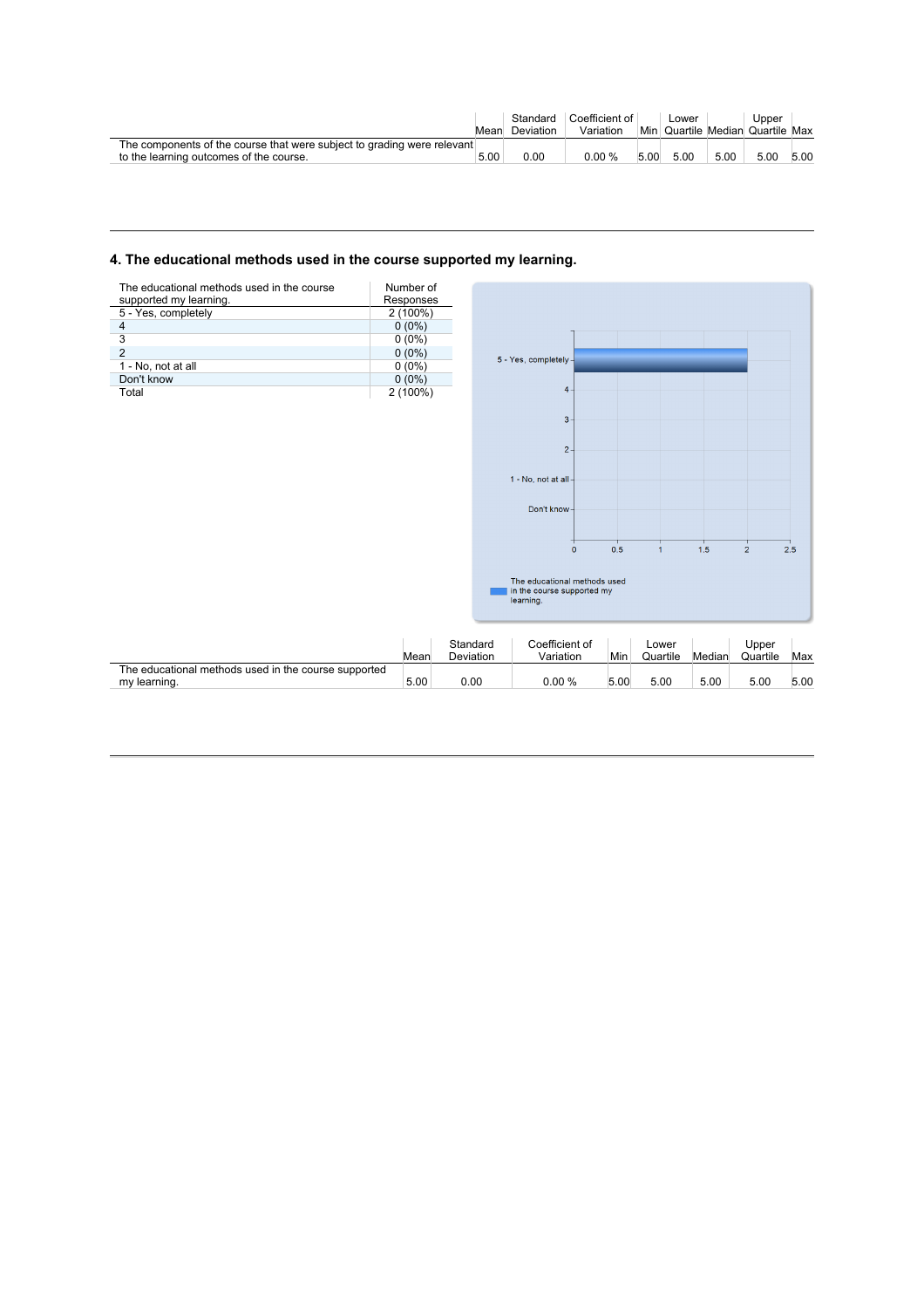|                                                                                                                    | Mean | Deviation | Standard Coefficient of<br>Variation |      | Lower<br>Min Quartile Median Quartile Max |      | Upper |      |
|--------------------------------------------------------------------------------------------------------------------|------|-----------|--------------------------------------|------|-------------------------------------------|------|-------|------|
| The components of the course that were subject to grading were relevant<br>to the learning outcomes of the course. | 5.00 | 0.00      | 0.00 %                               | 5.00 | 5.00                                      | 5.00 | 5.00  | 5.00 |

# **4. The educational methods used in the course supported my learning.**

| The educational methods used in the course<br>supported my learning. | Number of<br>Responses |
|----------------------------------------------------------------------|------------------------|
| 5 - Yes, completely                                                  | $2(100\%)$             |
| 4                                                                    | $0(0\%)$               |
| 3                                                                    | $0(0\%)$               |
| $\mathfrak{p}$                                                       | $0(0\%)$               |
| 1 - No, not at all                                                   | $0(0\%)$               |
| Don't know                                                           | $0(0\%)$               |
| Total                                                                | 2 (100%)               |



|                                                                      | Mear | Standard<br>Deviation | Coefficient of<br>Variation | Min  | ∟ower<br>Quartile | Median | Upper<br>Quartile | Max  |
|----------------------------------------------------------------------|------|-----------------------|-----------------------------|------|-------------------|--------|-------------------|------|
| The educational methods used in the course supported<br>my learning. | 5.00 | 0.00                  | 0.00%                       | 5.00 | 5.00              | 5.00   | 5.00              | 5.00 |
|                                                                      |      |                       |                             |      |                   |        |                   |      |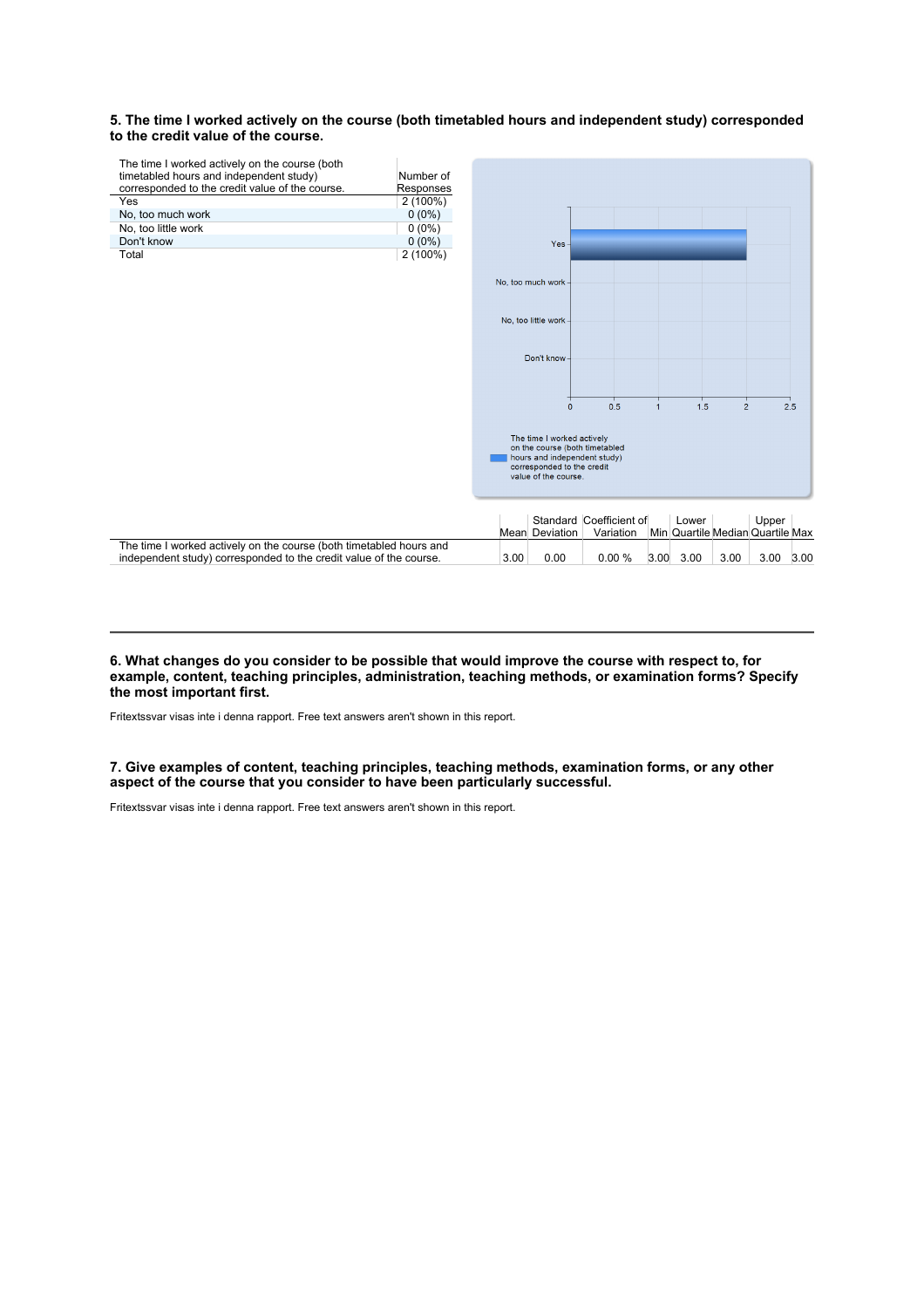## **5. The time I worked actively on the course (both timetabled hours and independent study) corresponded**  to the credit value of the course.



#### **6. What changes do you consider to be possible that would improve the course with respect to, for example, content, teaching principles, administration, teaching methods, or examination forms? Specify the most important first.**

Fritextssvar visas inte i denna rapport. Free text answers aren't shown in this report.

## **7. Give examples of content, teaching principles, teaching methods, examination forms, or any other aspect of the course that you consider to have been particularly successful.**

Fritextssvar visas inte i denna rapport. Free text answers aren't shown in this report.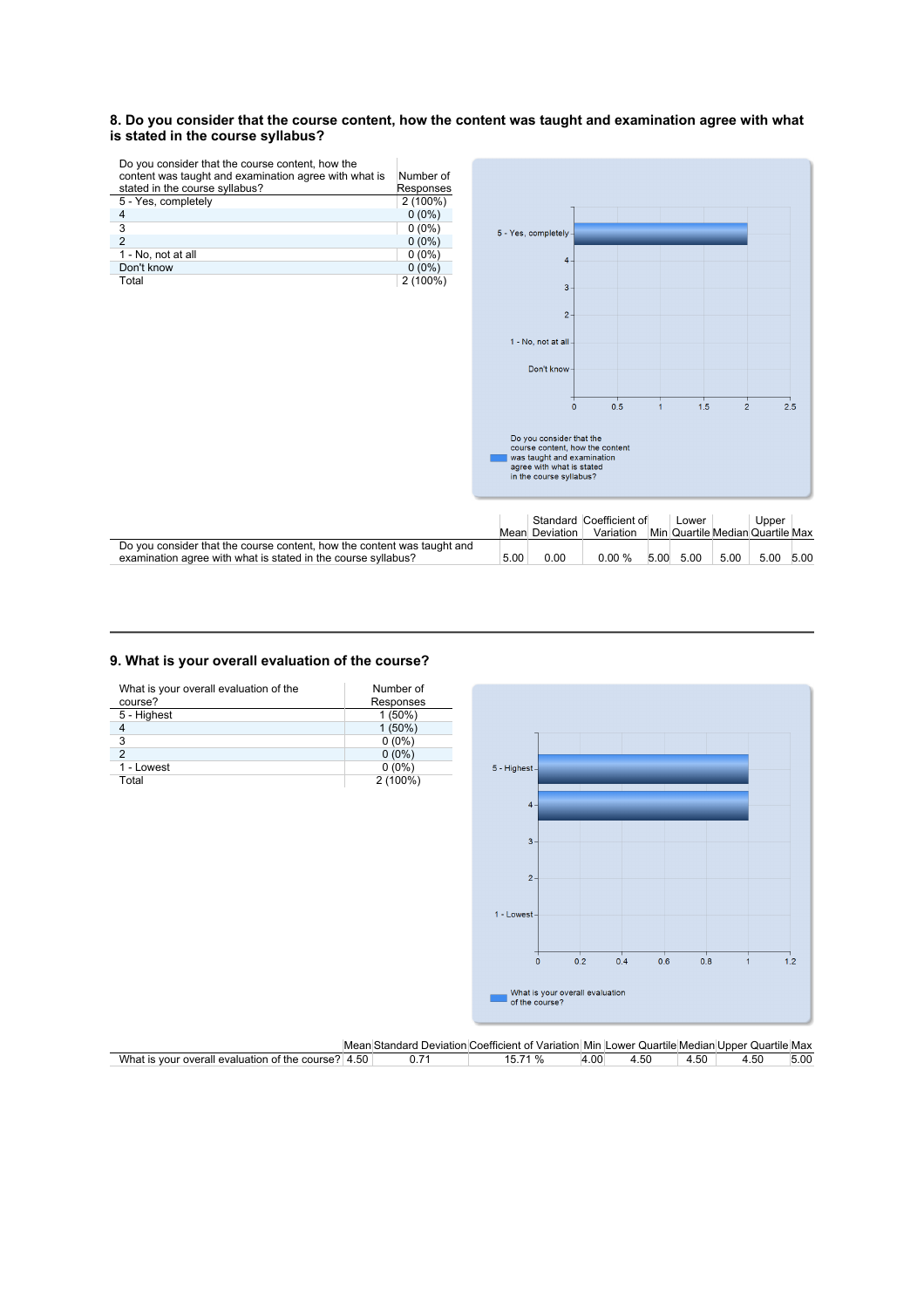### **8. Do you consider that the course content, how the content was taught and examination agree with what is stated in the course syllabus?**

 $\overline{\phantom{a}}$ 

Do you consider that the course content, how the

| content was taught and examination agree with what is | Number of  |
|-------------------------------------------------------|------------|
| stated in the course syllabus?                        | Responses  |
| 5 - Yes, completely                                   | $2(100\%)$ |
| 4                                                     | $0(0\%)$   |
| 3                                                     | $0(0\%)$   |
| $\overline{2}$                                        | $0(0\%)$   |
| 1 - No, not at all                                    | $0(0\%)$   |
| Don't know                                            | $0(0\%)$   |
| Total                                                 | 2 (100%)   |

5 - Yes, completely  $\overline{4}$  $\overline{3}$  $\overline{2}$ 1 - No, not at all Don't know  $\frac{1}{2.5}$  $\overline{\bullet}$  $0.5$  $\frac{1}{1}$  $1.5$  $\frac{1}{2}$ Do you consider that the<br>course content, how the content<br>| was taught and examination<br>agree with what is stated<br>in the course syllabus?

|                                                                         |      |                | Standard Coefficient of |      | Lower                            |      | Upper |      |
|-------------------------------------------------------------------------|------|----------------|-------------------------|------|----------------------------------|------|-------|------|
|                                                                         |      | Mean Deviation | Variation               |      | Min Quartile Median Quartile Max |      |       |      |
| Do you consider that the course content, how the content was taught and |      |                |                         |      |                                  |      |       |      |
| examination agree with what is stated in the course syllabus?           | 5.00 | 0.00           | $0.00 \%$               | 5.00 | 5.00                             | 5.00 | 5.00  | 5.00 |

## **9. What is your overall evaluation of the course?**

| What is your overall evaluation of the | Number of |                  |                                 |     |     |     |                |     |
|----------------------------------------|-----------|------------------|---------------------------------|-----|-----|-----|----------------|-----|
| course?                                | Responses |                  |                                 |     |     |     |                |     |
| 5 - Highest                            | 1(50%)    |                  |                                 |     |     |     |                |     |
| $\overline{4}$                         | $1(50\%)$ |                  |                                 |     |     |     |                |     |
| 3                                      | $0(0\%)$  |                  |                                 |     |     |     |                |     |
| $\overline{2}$                         | $0(0\%)$  |                  |                                 |     |     |     |                |     |
| 1 - Lowest                             | $0(0\%)$  | $5$ - Highest-   |                                 |     |     |     |                |     |
| Total                                  | 2(100%)   |                  |                                 |     |     |     |                |     |
|                                        |           |                  |                                 |     |     |     |                |     |
|                                        |           | $4 -$            |                                 |     |     |     |                |     |
|                                        |           |                  |                                 |     |     |     |                |     |
|                                        |           | $3 -$            |                                 |     |     |     |                |     |
|                                        |           |                  |                                 |     |     |     |                |     |
|                                        |           |                  |                                 |     |     |     |                |     |
|                                        |           | $2 -$            |                                 |     |     |     |                |     |
|                                        |           |                  |                                 |     |     |     |                |     |
|                                        |           |                  |                                 |     |     |     |                |     |
|                                        |           | $1 -$ Lowest $-$ |                                 |     |     |     |                |     |
|                                        |           |                  |                                 |     |     |     |                |     |
|                                        |           |                  |                                 |     |     |     |                |     |
|                                        |           |                  | 0.2                             | ⊤   |     | 0.8 |                |     |
|                                        |           | $\mathbf{0}$     |                                 | 0.4 | 0.6 |     | $\overline{1}$ | 1.2 |
|                                        |           |                  |                                 |     |     |     |                |     |
|                                        |           |                  | What is your overall evaluation |     |     |     |                |     |
|                                        |           | of the course?   |                                 |     |     |     |                |     |
|                                        |           |                  |                                 |     |     |     |                |     |
|                                        |           |                  |                                 |     |     |     |                |     |

|                                                     |  | Mean Standard Deviation Coefficient of Variation Min Lower Quartile Median Upper Quartile Max |      |      |      |      |      |
|-----------------------------------------------------|--|-----------------------------------------------------------------------------------------------|------|------|------|------|------|
| What is your overall evaluation of the course? 4.50 |  | 15.71 %                                                                                       | 4.00 | 4.50 | 4.50 | 4.50 | 5.00 |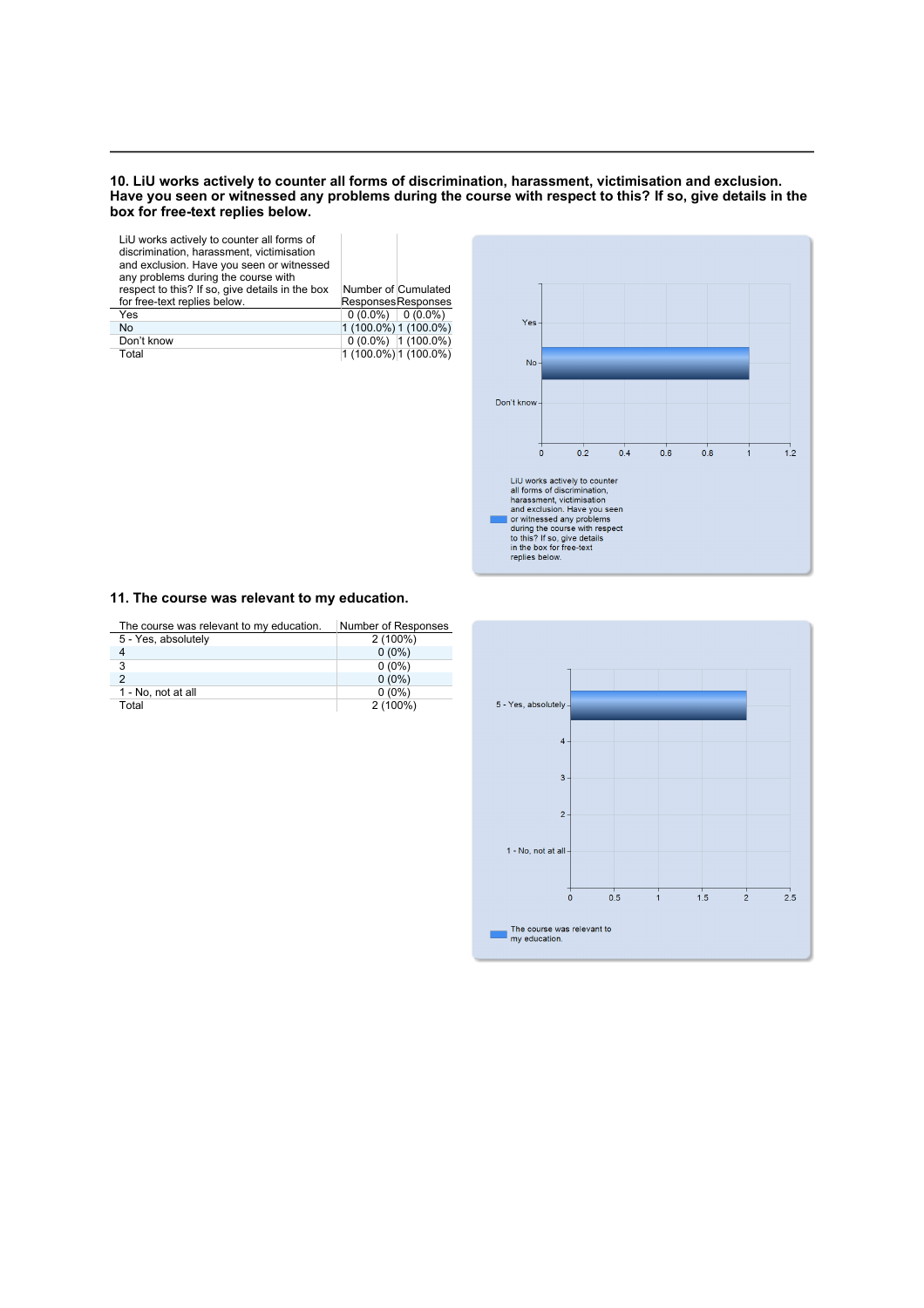#### **10. LiU works actively to counter all forms of discrimination, harassment, victimisation and exclusion. Have you seen or witnessed any problems during the course with respect to this? If so, give details in the box for free-text replies below.**

| LiU works actively to counter all forms of<br>discrimination, harassment, victimisation<br>and exclusion. Have you seen or witnessed<br>any problems during the course with |                       |
|-----------------------------------------------------------------------------------------------------------------------------------------------------------------------------|-----------------------|
| respect to this? If so, give details in the box                                                                                                                             | Number of Cumulated   |
| for free-text replies below.                                                                                                                                                | Responses Responses   |
| Yes                                                                                                                                                                         | $0(0.0\%)$ 0 (0.0%)   |
| No                                                                                                                                                                          | 1 (100.0%) 1 (100.0%) |
| Don't know                                                                                                                                                                  | $0(0.0\%)$ 1 (100.0%) |
| Total                                                                                                                                                                       | 1 (100.0%) 1 (100.0%) |
|                                                                                                                                                                             |                       |



## **11. The course was relevant to my education.**

| The course was relevant to my education. | Number of Responses |
|------------------------------------------|---------------------|
| 5 - Yes, absolutely                      | $2(100\%)$          |
|                                          | $0(0\%)$            |
| 3                                        | $0(0\%)$            |
|                                          | $0(0\%)$            |
| 1 - No, not at all                       | $0(0\%)$            |
| Total                                    | $2(100\%)$          |